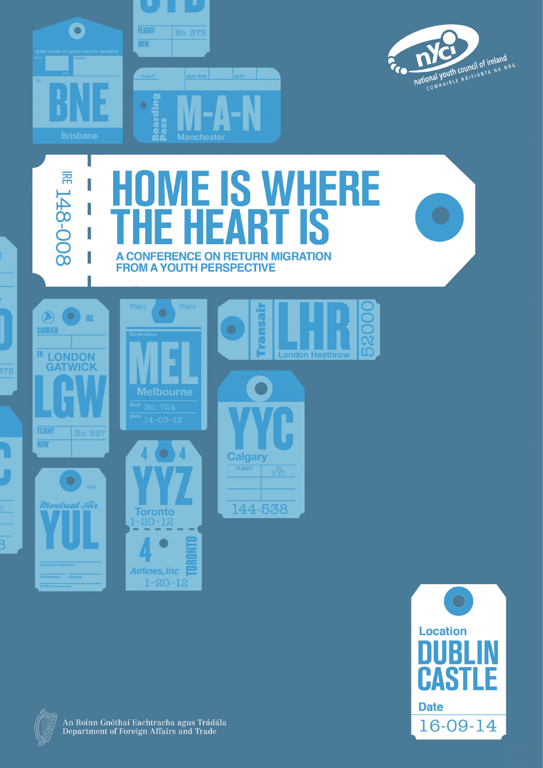



## **RE 148-008 ME IS WHERE** Ī **TIS**  $\boldsymbol{\Lambda}$ I A CONFERENCE ON RETURN MIGRATION **FROM A YOUTH PERSPECTIVE** Flight Flight  $\bigcirc$ **IRE** CARRIER



<sup>TO</sup> LONDON

375

 $\overline{C}$ 

 $\overline{\mathsf{B}}$ 

**GATWICK** 







**Airlines, Inc.**  $1 - 20 - 12$